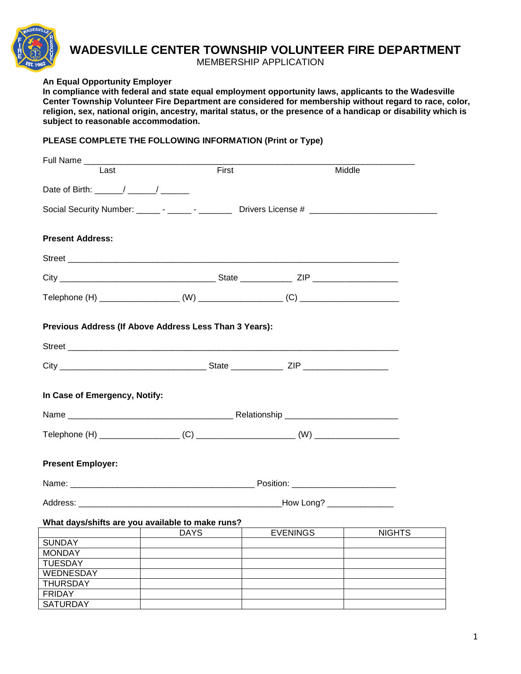

## **WADESVILLE CENTER TOWNSHIP VOLUNTEER FIRE DEPARTMENT**

MEMBERSHIP APPLICATION

## **An Equal Opportunity Employer**

**In compliance with federal and state equal employment opportunity laws, applicants to the Wadesville Center Township Volunteer Fire Department are considered for membership without regard to race, color, religion, sex, national origin, ancestry, marital status, or the presence of a handicap or disability which is subject to reasonable accommodation.**

## **PLEASE COMPLETE THE FOLLOWING INFORMATION (Print or Type)**

| Full Name                                                                                                                                                                                                                                                                                                          |             |                 |                            |
|--------------------------------------------------------------------------------------------------------------------------------------------------------------------------------------------------------------------------------------------------------------------------------------------------------------------|-------------|-----------------|----------------------------|
| Last                                                                                                                                                                                                                                                                                                               | First       |                 | Middle                     |
|                                                                                                                                                                                                                                                                                                                    |             |                 |                            |
| Date of Birth: $\frac{1}{2}$ $\frac{1}{2}$ $\frac{1}{2}$ $\frac{1}{2}$ $\frac{1}{2}$ $\frac{1}{2}$ $\frac{1}{2}$ $\frac{1}{2}$ $\frac{1}{2}$ $\frac{1}{2}$ $\frac{1}{2}$ $\frac{1}{2}$ $\frac{1}{2}$ $\frac{1}{2}$ $\frac{1}{2}$ $\frac{1}{2}$ $\frac{1}{2}$ $\frac{1}{2}$ $\frac{1}{2}$ $\frac{1}{2}$ $\frac{1}{$ |             |                 |                            |
| Social Security Number: _______ - _______ - ___________ Drivers License # __________________________                                                                                                                                                                                                               |             |                 |                            |
|                                                                                                                                                                                                                                                                                                                    |             |                 |                            |
|                                                                                                                                                                                                                                                                                                                    |             |                 |                            |
| <b>Present Address:</b>                                                                                                                                                                                                                                                                                            |             |                 |                            |
|                                                                                                                                                                                                                                                                                                                    |             |                 |                            |
|                                                                                                                                                                                                                                                                                                                    |             |                 |                            |
|                                                                                                                                                                                                                                                                                                                    |             |                 |                            |
|                                                                                                                                                                                                                                                                                                                    |             |                 |                            |
|                                                                                                                                                                                                                                                                                                                    |             |                 |                            |
|                                                                                                                                                                                                                                                                                                                    |             |                 |                            |
| Previous Address (If Above Address Less Than 3 Years):                                                                                                                                                                                                                                                             |             |                 |                            |
|                                                                                                                                                                                                                                                                                                                    |             |                 |                            |
|                                                                                                                                                                                                                                                                                                                    |             |                 |                            |
|                                                                                                                                                                                                                                                                                                                    |             |                 |                            |
|                                                                                                                                                                                                                                                                                                                    |             |                 |                            |
|                                                                                                                                                                                                                                                                                                                    |             |                 |                            |
| In Case of Emergency, Notify:                                                                                                                                                                                                                                                                                      |             |                 |                            |
|                                                                                                                                                                                                                                                                                                                    |             |                 |                            |
|                                                                                                                                                                                                                                                                                                                    |             |                 |                            |
|                                                                                                                                                                                                                                                                                                                    |             |                 |                            |
|                                                                                                                                                                                                                                                                                                                    |             |                 |                            |
|                                                                                                                                                                                                                                                                                                                    |             |                 |                            |
| <b>Present Employer:</b>                                                                                                                                                                                                                                                                                           |             |                 |                            |
|                                                                                                                                                                                                                                                                                                                    |             |                 |                            |
|                                                                                                                                                                                                                                                                                                                    |             |                 |                            |
|                                                                                                                                                                                                                                                                                                                    |             |                 | How Long? ________________ |
|                                                                                                                                                                                                                                                                                                                    |             |                 |                            |
| What days/shifts are you available to make runs?                                                                                                                                                                                                                                                                   |             |                 |                            |
|                                                                                                                                                                                                                                                                                                                    | <b>DAYS</b> | <b>EVENINGS</b> | <b>NIGHTS</b>              |
| <b>SUNDAY</b>                                                                                                                                                                                                                                                                                                      |             |                 |                            |
| <b>MONDAY</b>                                                                                                                                                                                                                                                                                                      |             |                 |                            |
| <b>TUESDAY</b>                                                                                                                                                                                                                                                                                                     |             |                 |                            |
| WEDNESDAY                                                                                                                                                                                                                                                                                                          |             |                 |                            |
| <b>THURSDAY</b>                                                                                                                                                                                                                                                                                                    |             |                 |                            |
| <b>FRIDAY</b>                                                                                                                                                                                                                                                                                                      |             |                 |                            |
| <b>SATURDAY</b>                                                                                                                                                                                                                                                                                                    |             |                 |                            |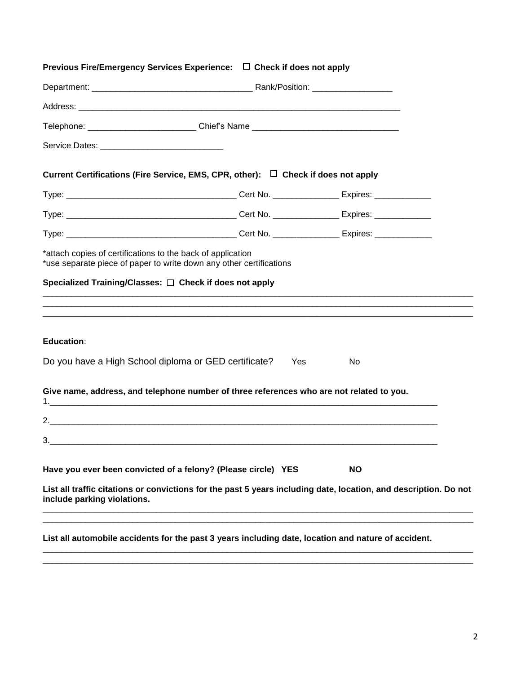| Previous Fire/Emergency Services Experience: $\Box$ Check if does not apply                                                                     |  |           |  |
|-------------------------------------------------------------------------------------------------------------------------------------------------|--|-----------|--|
|                                                                                                                                                 |  |           |  |
|                                                                                                                                                 |  |           |  |
| Telephone: ____________________________Chief's Name ____________________________                                                                |  |           |  |
|                                                                                                                                                 |  |           |  |
| Current Certifications (Fire Service, EMS, CPR, other): $\Box$ Check if does not apply                                                          |  |           |  |
|                                                                                                                                                 |  |           |  |
|                                                                                                                                                 |  |           |  |
|                                                                                                                                                 |  |           |  |
| *attach copies of certifications to the back of application                                                                                     |  |           |  |
| *use separate piece of paper to write down any other certifications                                                                             |  |           |  |
| Specialized Training/Classes: □ Check if does not apply                                                                                         |  |           |  |
|                                                                                                                                                 |  |           |  |
| <b>Education:</b>                                                                                                                               |  |           |  |
| Do you have a High School diploma or GED certificate?                                                                                           |  | Yes<br>No |  |
|                                                                                                                                                 |  |           |  |
| Give name, address, and telephone number of three references who are not related to you.                                                        |  |           |  |
|                                                                                                                                                 |  |           |  |
| 3.                                                                                                                                              |  |           |  |
|                                                                                                                                                 |  |           |  |
| Have you ever been convicted of a felony? (Please circle) YES                                                                                   |  | <b>NO</b> |  |
| List all traffic citations or convictions for the past 5 years including date, location, and description. Do not<br>include parking violations. |  |           |  |
| List all automobile accidents for the past 3 years including date, location and nature of accident.                                             |  |           |  |

\_\_\_\_\_\_\_\_\_\_\_\_\_\_\_\_\_\_\_\_\_\_\_\_\_\_\_\_\_\_\_\_\_\_\_\_\_\_\_\_\_\_\_\_\_\_\_\_\_\_\_\_\_\_\_\_\_\_\_\_\_\_\_\_\_\_\_\_\_\_\_\_\_\_\_\_\_\_\_\_\_\_\_\_\_\_\_\_\_\_\_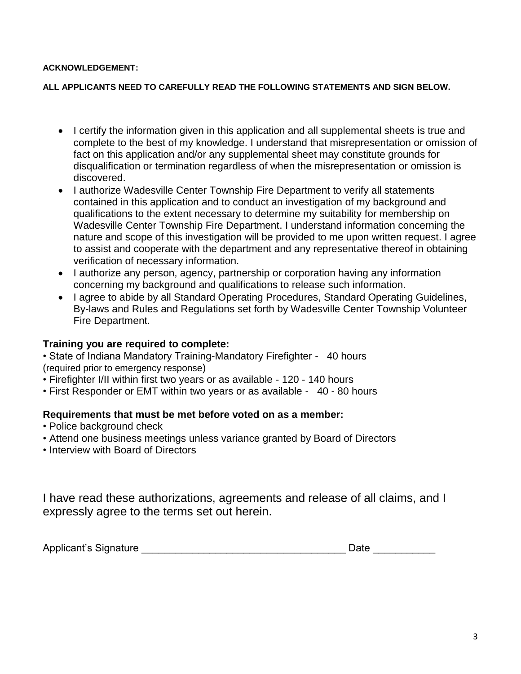#### **ACKNOWLEDGEMENT:**

#### **ALL APPLICANTS NEED TO CAREFULLY READ THE FOLLOWING STATEMENTS AND SIGN BELOW.**

- I certify the information given in this application and all supplemental sheets is true and complete to the best of my knowledge. I understand that misrepresentation or omission of fact on this application and/or any supplemental sheet may constitute grounds for disqualification or termination regardless of when the misrepresentation or omission is discovered.
- I authorize Wadesville Center Township Fire Department to verify all statements contained in this application and to conduct an investigation of my background and qualifications to the extent necessary to determine my suitability for membership on Wadesville Center Township Fire Department. I understand information concerning the nature and scope of this investigation will be provided to me upon written request. I agree to assist and cooperate with the department and any representative thereof in obtaining verification of necessary information.
- I authorize any person, agency, partnership or corporation having any information concerning my background and qualifications to release such information.
- I agree to abide by all Standard Operating Procedures, Standard Operating Guidelines, By-laws and Rules and Regulations set forth by Wadesville Center Township Volunteer Fire Department.

## **Training you are required to complete:**

• State of Indiana Mandatory Training-Mandatory Firefighter - 40 hours (required prior to emergency response)

- Firefighter I/II within first two years or as available 120 140 hours
- First Responder or EMT within two years or as available 40 80 hours

## **Requirements that must be met before voted on as a member:**

- Police background check
- Attend one business meetings unless variance granted by Board of Directors
- Interview with Board of Directors

I have read these authorizations, agreements and release of all claims, and I expressly agree to the terms set out herein.

| Applicant's Signature | Date |  |
|-----------------------|------|--|
|                       |      |  |